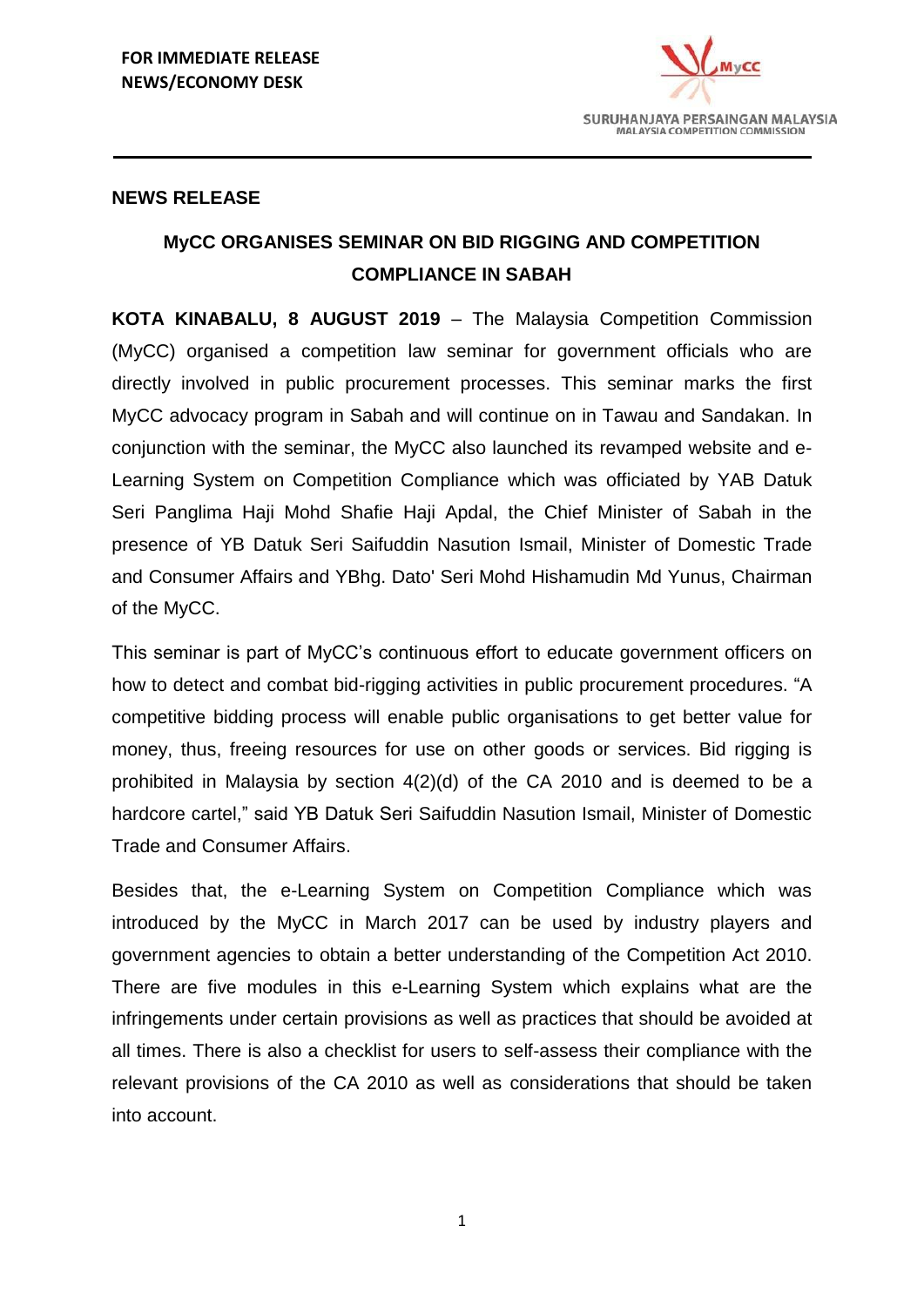

## **NEWS RELEASE**

## **MyCC ORGANISES SEMINAR ON BID RIGGING AND COMPETITION COMPLIANCE IN SABAH**

**KOTA KINABALU, 8 AUGUST 2019** – The Malaysia Competition Commission (MyCC) organised a competition law seminar for government officials who are directly involved in public procurement processes. This seminar marks the first MyCC advocacy program in Sabah and will continue on in Tawau and Sandakan. In conjunction with the seminar, the MyCC also launched its revamped website and e-Learning System on Competition Compliance which was officiated by YAB Datuk Seri Panglima Haji Mohd Shafie Haji Apdal, the Chief Minister of Sabah in the presence of YB Datuk Seri Saifuddin Nasution Ismail, Minister of Domestic Trade and Consumer Affairs and YBhg. Dato' Seri Mohd Hishamudin Md Yunus, Chairman of the MyCC.

This seminar is part of MyCC's continuous effort to educate government officers on how to detect and combat bid-rigging activities in public procurement procedures. "A competitive bidding process will enable public organisations to get better value for money, thus, freeing resources for use on other goods or services. Bid rigging is prohibited in Malaysia by section 4(2)(d) of the CA 2010 and is deemed to be a hardcore cartel," said YB Datuk Seri Saifuddin Nasution Ismail, Minister of Domestic Trade and Consumer Affairs.

Besides that, the e-Learning System on Competition Compliance which was introduced by the MyCC in March 2017 can be used by industry players and government agencies to obtain a better understanding of the Competition Act 2010. There are five modules in this e-Learning System which explains what are the infringements under certain provisions as well as practices that should be avoided at all times. There is also a checklist for users to self-assess their compliance with the relevant provisions of the CA 2010 as well as considerations that should be taken into account.

1